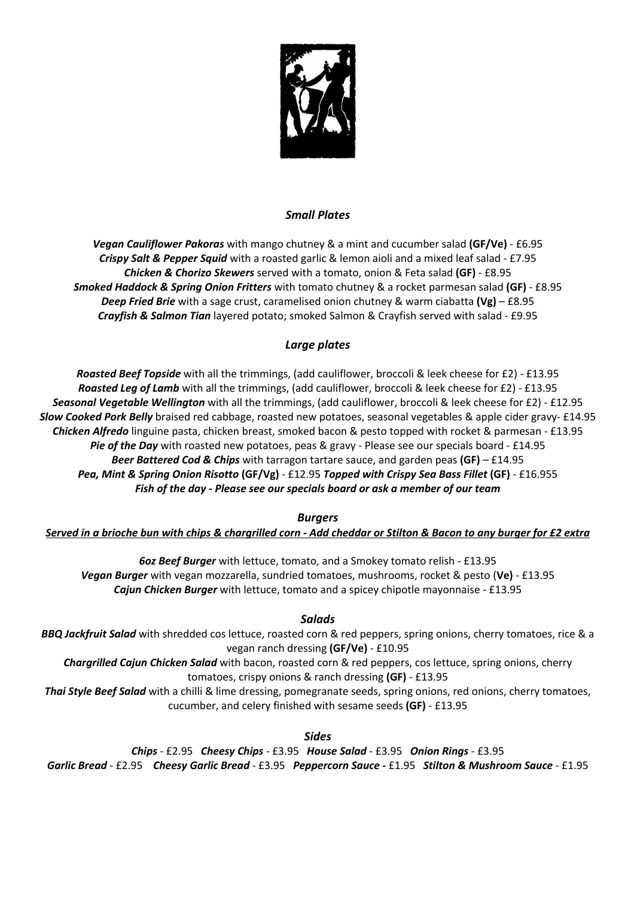

## *Small Plates*

*Vegan Cauliflower Pakoras* with mango chutney & a mint and cucumber salad **(GF/Ve)** - £6.95 *Crispy Salt & Pepper Squid* with a roasted garlic & lemon aioli and a mixed leaf salad - £7.95 *Chicken & Chorizo Skewers* served with a tomato, onion & Feta salad **(GF)** - £8.95 *Smoked Haddock & Spring Onion Fritters* with tomato chutney & a rocket parmesan salad **(GF)** - £8.95 *Deep Fried Brie* with a sage crust, caramelised onion chutney & warm ciabatta **(Vg)** – £8.95 *Crayfish & Salmon Tian* layered potato; smoked Salmon & Crayfish served with salad - £9.95

# *Large plates*

*Roasted Beef Topside* with all the trimmings, (add cauliflower, broccoli & leek cheese for £2) - £13.95 *Roasted Leg of Lamb* with all the trimmings, (add cauliflower, broccoli & leek cheese for £2) - £13.95 *Seasonal Vegetable Wellington* with all the trimmings, (add cauliflower, broccoli & leek cheese for £2) - £12.95 *Slow Cooked Pork Belly* braised red cabbage, roasted new potatoes, seasonal vegetables & apple cider gravy- £14.95 *Chicken Alfredo* linguine pasta, chicken breast, smoked bacon & pesto topped with rocket & parmesan - £13.95 *Pie of the Day* with roasted new potatoes, peas & gravy - Please see our specials board - £14.95 *Beer Battered Cod & Chips* with tarragon tartare sauce, and garden peas **(GF)** – £14.95 *Pea, Mint & Spring Onion Risotto* **(GF/Vg)** - £12.95 *Topped with Crispy Sea Bass Fillet* **(GF)** - £16.955 *Fish of the day - Please see our specials board or ask a member of our team*

## *Burgers*

*Served in a brioche bun with chips & chargrilled corn - Add cheddar or Stilton & Bacon to any burger for £2 extra*

*6oz Beef Burger* with lettuce, tomato, and a Smokey tomato relish - £13.95 *Vegan Burger* with vegan mozzarella, sundried tomatoes, mushrooms, rocket & pesto (**Ve)** - £13.95 *Cajun Chicken Burger* with lettuce, tomato and a spicey chipotle mayonnaise - £13.95

# *Salads*

*BBQ Jackfruit Salad* with shredded cos lettuce, roasted corn & red peppers, spring onions, cherry tomatoes, rice & a vegan ranch dressing **(GF/Ve)** - £10.95

*Chargrilled Cajun Chicken Salad* with bacon, roasted corn & red peppers, cos lettuce, spring onions, cherry tomatoes, crispy onions & ranch dressing **(GF)** - £13.95

*Thai Style Beef Salad* with a chilli & lime dressing, pomegranate seeds, spring onions, red onions, cherry tomatoes, cucumber, and celery finished with sesame seeds **(GF)** - £13.95

*Sides* 

*Chips* - £2.95 *Cheesy Chips* - £3.95 *House Salad* - £3.95 *Onion Rings* - £3.95 *Garlic Bread* - £2.95 *Cheesy Garlic Bread* - £3.95 *Peppercorn Sauce -* £1.95 *Stilton & Mushroom Sauce* - £1.95